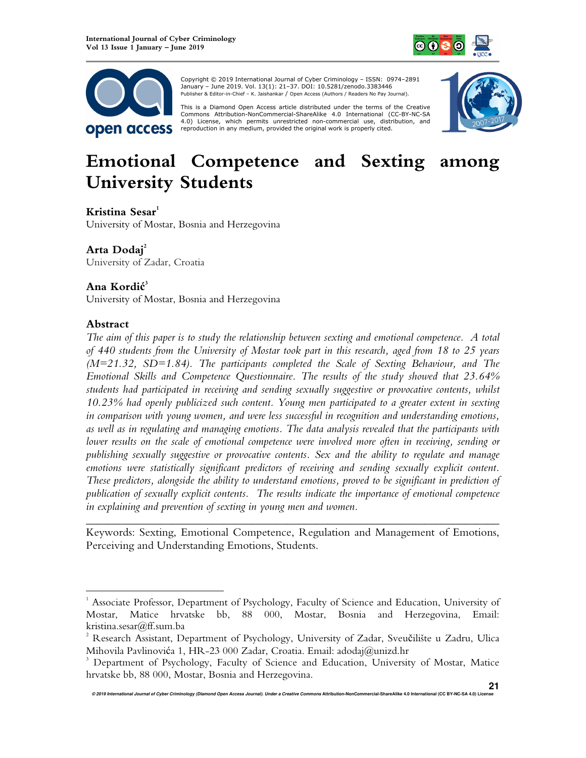



 Copyright © 2019 International Journal of Cyber Criminology – ISSN: 0974–2891 January – June 2019. Vol. 13(1): 21–37. DOI: 10.5281/zenodo.3383446 Publisher & Editor-in-Chief – K. Jaishankar / Open Access (Authors / Readers No Pay Journal).

This is a Diamond Open Access article distributed under the terms of the Creative<br>Commons Attribution-NonCommercial-ShareAlike 4.0 International (CC-BY-NC-SA 4.0) License, which permits unrestricted non-commercial use, distribution, and reproduction in any medium, provided the original work is properly cited.



# **Emotional Competence and Sexting among University Students**

#### **Kristina Sesar<sup>1</sup>**

University of Mostar, Bosnia and Herzegovina

# **Arta Dodaj<sup>2</sup>**

University of Zadar, Croatia

# **Ana Kordić 3**

University of Mostar, Bosnia and Herzegovina

### **Abstract**

 $\overline{a}$ 

*The aim of this paper is to study the relationship between sexting and emotional competence. A total of 440 students from the University of Mostar took part in this research, aged from 18 to 25 years (M=21.32, SD=1.84). The participants completed the Scale of Sexting Behaviour, and The Emotional Skills and Competence Questionnaire. The results of the study showed that 23.64% students had participated in receiving and sending sexually suggestive or provocative contents, whilst 10.23% had openly publicized such content. Young men participated to a greater extent in sexting in comparison with young women, and were less successful in recognition and understanding emotions, as well as in regulating and managing emotions. The data analysis revealed that the participants with lower results on the scale of emotional competence were involved more often in receiving, sending or publishing sexually suggestive or provocative contents. Sex and the ability to regulate and manage emotions were statistically significant predictors of receiving and sending sexually explicit content. These predictors, alongside the ability to understand emotions, proved to be significant in prediction of publication of sexually explicit contents. The results indicate the importance of emotional competence in explaining and prevention of sexting in young men and women.* 

*\_\_\_\_\_\_\_\_\_\_\_\_\_\_\_\_\_\_\_\_\_\_\_\_\_\_\_\_\_\_\_\_\_\_\_\_\_\_\_\_\_\_\_\_\_\_\_\_\_\_\_\_\_\_\_\_\_\_\_\_\_\_\_\_\_\_\_\_\_\_\_\_*  Keywords: Sexting, Emotional Competence, Regulation and Management of Emotions, Perceiving and Understanding Emotions, Students.

<sup>1</sup> Associate Professor, Department of Psychology, Faculty of Science and Education, University of Mostar, Matice hrvatske bb, 88 000, Mostar, Bosnia and Herzegovina, Email: kristina.sesar@ff.sum.ba

 $2^2$  Research Assistant, Department of Psychology, University of Zadar, Sveučilište u Zadru, Ulica Mihovila Pavlinovića 1, HR-23 000 Zadar, Croatia. Email: adodaj@unizd.hr

<sup>3</sup> Department of Psychology, Faculty of Science and Education, University of Mostar, Matice hrvatske bb, 88 000, Mostar, Bosnia and Herzegovina.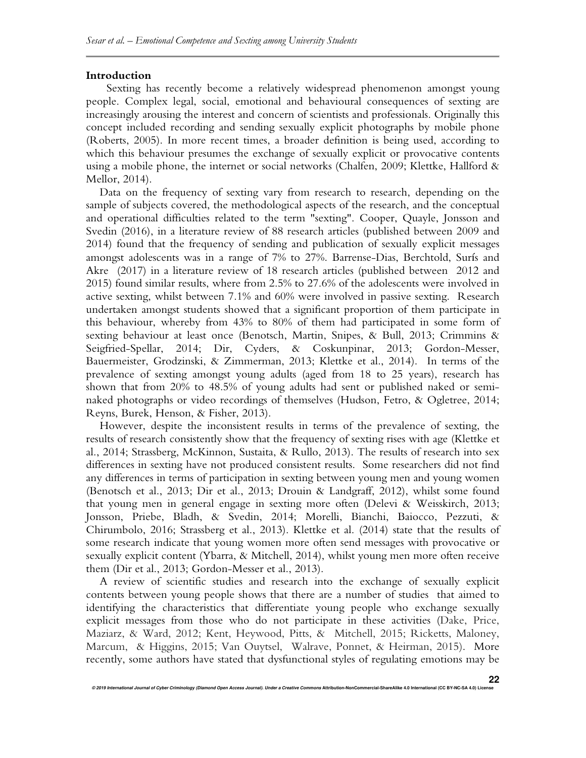#### **Introduction**

Sexting has recently become a relatively widespread phenomenon amongst young people. Complex legal, social, emotional and behavioural consequences of sexting are increasingly arousing the interest and concern of scientists and professionals. Originally this concept included recording and sending sexually explicit photographs by mobile phone (Roberts, 2005). In more recent times, a broader definition is being used, according to which this behaviour presumes the exchange of sexually explicit or provocative contents using a mobile phone, the internet or social networks (Chalfen, 2009; Klettke, Hallford & Mellor, 2014).

Data on the frequency of sexting vary from research to research, depending on the sample of subjects covered, the methodological aspects of the research, and the conceptual and operational difficulties related to the term "sexting". Cooper, Quayle, Jonsson and Svedin (2016), in a literature review of 88 research articles (published between 2009 and 2014) found that the frequency of sending and publication of sexually explicit messages amongst adolescents was in a range of 7% to 27%. Barrense-Dias, Berchtold, Surís and Akre (2017) in a literature review of 18 research articles (published between 2012 and 2015) found similar results, where from 2.5% to 27.6% of the adolescents were involved in active sexting, whilst between 7.1% and 60% were involved in passive sexting. Research undertaken amongst students showed that a significant proportion of them participate in this behaviour, whereby from 43% to 80% of them had participated in some form of sexting behaviour at least once (Benotsch, Martin, Snipes, & Bull, 2013; Crimmins & Seigfried-Spellar, 2014; Dir, Cyders, & Coskunpinar, 2013; Gordon-Messer, Bauermeister, Grodzinski, & Zimmerman, 2013; Klettke et al., 2014). In terms of the prevalence of sexting amongst young adults (aged from 18 to 25 years), research has shown that from 20% to 48.5% of young adults had sent or published naked or seminaked photographs or video recordings of themselves (Hudson, Fetro, & Ogletree, 2014; Reyns, Burek, Henson, & Fisher, 2013).

However, despite the inconsistent results in terms of the prevalence of sexting, the results of research consistently show that the frequency of sexting rises with age (Klettke et al., 2014; Strassberg, McKinnon, Sustaita, & Rullo, 2013). The results of research into sex differences in sexting have not produced consistent results. Some researchers did not find any differences in terms of participation in sexting between young men and young women (Benotsch et al., 2013; Dir et al., 2013; Drouin & Landgraff, 2012), whilst some found that young men in general engage in sexting more often (Delevi & Weisskirch, 2013; Jonsson, Priebe, Bladh, & Svedin, 2014; Morelli, Bianchi, Baiocco, Pezzuti, & Chirumbolo, 2016; Strassberg et al., 2013). Klettke et al. (2014) state that the results of some research indicate that young women more often send messages with provocative or sexually explicit content (Ybarra, & Mitchell, 2014), whilst young men more often receive them (Dir et al., 2013; Gordon-Messer et al., 2013).

A review of scientific studies and research into the exchange of sexually explicit contents between young people shows that there are a number of studies that aimed to identifying the characteristics that differentiate young people who exchange sexually explicit messages from those who do not participate in these activities (Dake, Price, Maziarz, & Ward, 2012; Kent, Heywood, Pitts, & Mitchell, 2015; Ricketts, Maloney, Marcum, & Higgins, 2015; Van Ouytsel, Walrave, Ponnet, & Heirman, 2015). More recently, some authors have stated that dysfunctional styles of regulating emotions may be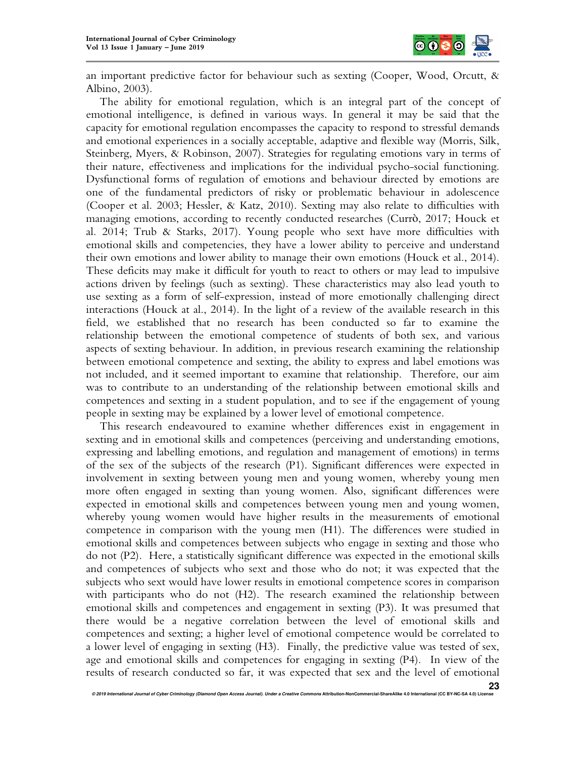

an important predictive factor for behaviour such as sexting (Cooper, Wood, Orcutt, & Albino, 2003).

The ability for emotional regulation, which is an integral part of the concept of emotional intelligence, is defined in various ways. In general it may be said that the capacity for emotional regulation encompasses the capacity to respond to stressful demands and emotional experiences in a socially acceptable, adaptive and flexible way (Morris, Silk, Steinberg, Myers, & Robinson, 2007). Strategies for regulating emotions vary in terms of their nature, effectiveness and implications for the individual psycho-social functioning. Dysfunctional forms of regulation of emotions and behaviour directed by emotions are one of the fundamental predictors of risky or problematic behaviour in adolescence (Cooper et al. 2003; Hessler, & Katz, 2010). Sexting may also relate to difficulties with managing emotions, according to recently conducted researches (Currò, 2017; Houck et al. 2014; Trub & Starks, 2017). Young people who sext have more difficulties with emotional skills and competencies, they have a lower ability to perceive and understand their own emotions and lower ability to manage their own emotions (Houck et al., 2014). These deficits may make it difficult for youth to react to others or may lead to impulsive actions driven by feelings (such as sexting). These characteristics may also lead youth to use sexting as a form of self-expression, instead of more emotionally challenging direct interactions (Houck at al., 2014). In the light of a review of the available research in this field, we established that no research has been conducted so far to examine the relationship between the emotional competence of students of both sex, and various aspects of sexting behaviour. In addition, in previous research examining the relationship between emotional competence and sexting, the ability to express and label emotions was not included, and it seemed important to examine that relationship. Therefore, our aim was to contribute to an understanding of the relationship between emotional skills and competences and sexting in a student population, and to see if the engagement of young people in sexting may be explained by a lower level of emotional competence.

This research endeavoured to examine whether differences exist in engagement in sexting and in emotional skills and competences (perceiving and understanding emotions, expressing and labelling emotions, and regulation and management of emotions) in terms of the sex of the subjects of the research (P1). Significant differences were expected in involvement in sexting between young men and young women, whereby young men more often engaged in sexting than young women. Also, significant differences were expected in emotional skills and competences between young men and young women, whereby young women would have higher results in the measurements of emotional competence in comparison with the young men (H1). The differences were studied in emotional skills and competences between subjects who engage in sexting and those who do not (P2). Here, a statistically significant difference was expected in the emotional skills and competences of subjects who sext and those who do not; it was expected that the subjects who sext would have lower results in emotional competence scores in comparison with participants who do not (H2). The research examined the relationship between emotional skills and competences and engagement in sexting (P3). It was presumed that there would be a negative correlation between the level of emotional skills and competences and sexting; a higher level of emotional competence would be correlated to a lower level of engaging in sexting (H3). Finally, the predictive value was tested of sex, age and emotional skills and competences for engaging in sexting (P4). In view of the results of research conducted so far, it was expected that sex and the level of emotional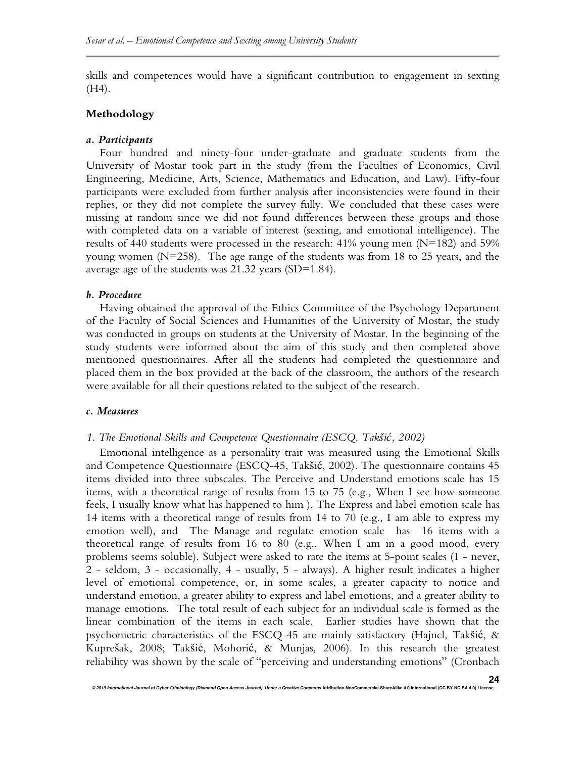skills and competences would have a significant contribution to engagement in sexting (H4).

## **Methodology**

### *a. Participants*

Four hundred and ninety-four under-graduate and graduate students from the University of Mostar took part in the study (from the Faculties of Economics, Civil Engineering, Medicine, Arts, Science, Mathematics and Education, and Law). Fifty-four participants were excluded from further analysis after inconsistencies were found in their replies, or they did not complete the survey fully. We concluded that these cases were missing at random since we did not found differences between these groups and those with completed data on a variable of interest (sexting, and emotional intelligence). The results of 440 students were processed in the research: 41% young men (N=182) and 59% young women (N=258). The age range of the students was from 18 to 25 years, and the average age of the students was 21.32 years (SD=1.84).

#### *b. Procedure*

Having obtained the approval of the Ethics Committee of the Psychology Department of the Faculty of Social Sciences and Humanities of the University of Mostar, the study was conducted in groups on students at the University of Mostar. In the beginning of the study students were informed about the aim of this study and then completed above mentioned questionnaires. After all the students had completed the questionnaire and placed them in the box provided at the back of the classroom, the authors of the research were available for all their questions related to the subject of the research.

#### *c. Measures*

### *1. The Emotional Skills and Competence Questionnaire (ESCQ, Takšić, 2002)*

Emotional intelligence as a personality trait was measured using the Emotional Skills and Competence Questionnaire (ESCQ-45, Takšić, 2002). The questionnaire contains 45 items divided into three subscales. The Perceive and Understand emotions scale has 15 items, with a theoretical range of results from 15 to 75 (e.g., When I see how someone feels, I usually know what has happened to him ), The Express and label emotion scale has 14 items with a theoretical range of results from 14 to 70 (e.g., I am able to express my emotion well), and The Manage and regulate emotion scale has 16 items with a theoretical range of results from 16 to 80 (e.g., When I am in a good mood, every problems seems soluble). Subject were asked to rate the items at 5-point scales (1 - never, 2 - seldom, 3 - occasionally, 4 - usually, 5 - always). A higher result indicates a higher level of emotional competence, or, in some scales, a greater capacity to notice and understand emotion, a greater ability to express and label emotions, and a greater ability to manage emotions. The total result of each subject for an individual scale is formed as the linear combination of the items in each scale. Earlier studies have shown that the psychometric characteristics of the ESCQ-45 are mainly satisfactory (Hajncl, Takšić, & Kuprešak, 2008; Takšić, Mohorić, & Munjas, 2006). In this research the greatest reliability was shown by the scale of "perceiving and understanding emotions" (Cronbach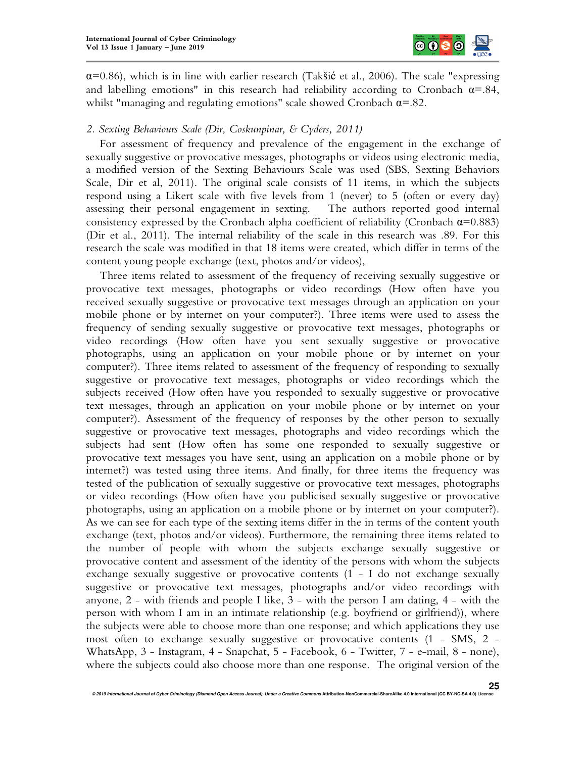

 $\alpha$ =0.86), which is in line with earlier research (Takšić et al., 2006). The scale "expressing and labelling emotions" in this research had reliability according to Cronbach  $\alpha = 0.84$ , whilst "managing and regulating emotions" scale showed Cronbach  $\alpha = 0.82$ .

## *2. Sexting Behaviours Scale (Dir, Coskunpinar, & Cyders, 2011)*

For assessment of frequency and prevalence of the engagement in the exchange of sexually suggestive or provocative messages, photographs or videos using electronic media, a modified version of the Sexting Behaviours Scale was used (SBS, Sexting Behaviors Scale, Dir et al, 2011). The original scale consists of 11 items, in which the subjects respond using a Likert scale with five levels from 1 (never) to 5 (often or every day) assessing their personal engagement in sexting. The authors reported good internal consistency expressed by the Cronbach alpha coefficient of reliability (Cronbach  $\alpha$ =0.883) (Dir et al., 2011). The internal reliability of the scale in this research was .89. For this research the scale was modified in that 18 items were created, which differ in terms of the content young people exchange (text, photos and/or videos),

Three items related to assessment of the frequency of receiving sexually suggestive or provocative text messages, photographs or video recordings (How often have you received sexually suggestive or provocative text messages through an application on your mobile phone or by internet on your computer?). Three items were used to assess the frequency of sending sexually suggestive or provocative text messages, photographs or video recordings (How often have you sent sexually suggestive or provocative photographs, using an application on your mobile phone or by internet on your computer?). Three items related to assessment of the frequency of responding to sexually suggestive or provocative text messages, photographs or video recordings which the subjects received (How often have you responded to sexually suggestive or provocative text messages, through an application on your mobile phone or by internet on your computer?). Assessment of the frequency of responses by the other person to sexually suggestive or provocative text messages, photographs and video recordings which the subjects had sent (How often has some one responded to sexually suggestive or provocative text messages you have sent, using an application on a mobile phone or by internet?) was tested using three items. And finally, for three items the frequency was tested of the publication of sexually suggestive or provocative text messages, photographs or video recordings (How often have you publicised sexually suggestive or provocative photographs, using an application on a mobile phone or by internet on your computer?). As we can see for each type of the sexting items differ in the in terms of the content youth exchange (text, photos and/or videos). Furthermore, the remaining three items related to the number of people with whom the subjects exchange sexually suggestive or provocative content and assessment of the identity of the persons with whom the subjects exchange sexually suggestive or provocative contents (1 - I do not exchange sexually suggestive or provocative text messages, photographs and/or video recordings with anyone, 2 - with friends and people I like, 3 - with the person I am dating, 4 - with the person with whom I am in an intimate relationship (e.g. boyfriend or girlfriend)), where the subjects were able to choose more than one response; and which applications they use most often to exchange sexually suggestive or provocative contents (1 - SMS, 2 - WhatsApp, 3 - Instagram, 4 - Snapchat, 5 - Facebook, 6 - Twitter, 7 - e-mail, 8 - none), where the subjects could also choose more than one response. The original version of the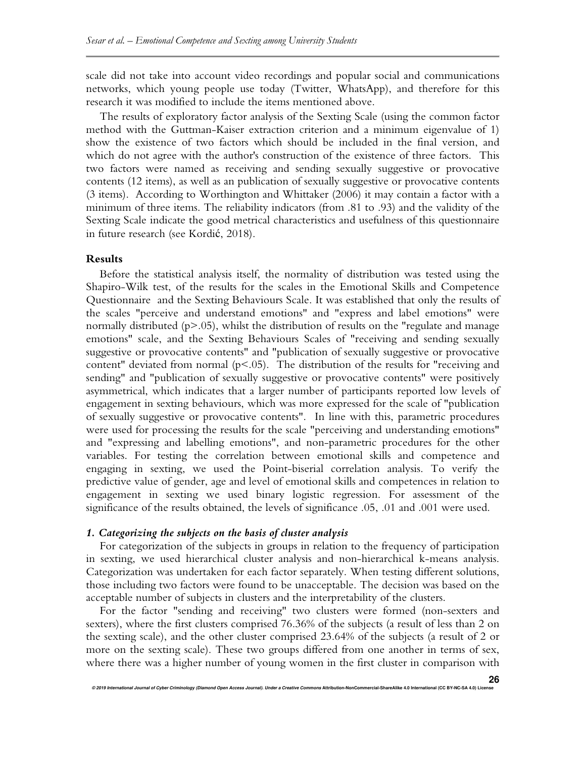scale did not take into account video recordings and popular social and communications networks, which young people use today (Twitter, WhatsApp), and therefore for this research it was modified to include the items mentioned above.

The results of exploratory factor analysis of the Sexting Scale (using the common factor method with the Guttman-Kaiser extraction criterion and a minimum eigenvalue of 1) show the existence of two factors which should be included in the final version, and which do not agree with the author's construction of the existence of three factors. This two factors were named as receiving and sending sexually suggestive or provocative contents (12 items), as well as an publication of sexually suggestive or provocative contents (3 items). According to Worthington and Whittaker (2006) it may contain a factor with a minimum of three items. The reliability indicators (from .81 to .93) and the validity of the Sexting Scale indicate the good metrical characteristics and usefulness of this questionnaire in future research (see Kordić, 2018).

#### **Results**

Before the statistical analysis itself, the normality of distribution was tested using the Shapiro-Wilk test, of the results for the scales in the Emotional Skills and Competence Questionnaire and the Sexting Behaviours Scale. It was established that only the results of the scales "perceive and understand emotions" and "express and label emotions" were normally distributed (p>.05), whilst the distribution of results on the "regulate and manage emotions" scale, and the Sexting Behaviours Scales of "receiving and sending sexually suggestive or provocative contents" and "publication of sexually suggestive or provocative content" deviated from normal  $(p<0.05)$ . The distribution of the results for "receiving and sending" and "publication of sexually suggestive or provocative contents" were positively asymmetrical, which indicates that a larger number of participants reported low levels of engagement in sexting behaviours, which was more expressed for the scale of "publication of sexually suggestive or provocative contents". In line with this, parametric procedures were used for processing the results for the scale "perceiving and understanding emotions" and "expressing and labelling emotions", and non-parametric procedures for the other variables. For testing the correlation between emotional skills and competence and engaging in sexting, we used the Point-biserial correlation analysis. To verify the predictive value of gender, age and level of emotional skills and competences in relation to engagement in sexting we used binary logistic regression. For assessment of the significance of the results obtained, the levels of significance .05, .01 and .001 were used.

#### *1. Categorizing the subjects on the basis of cluster analysis*

For categorization of the subjects in groups in relation to the frequency of participation in sexting, we used hierarchical cluster analysis and non-hierarchical k-means analysis. Categorization was undertaken for each factor separately. When testing different solutions, those including two factors were found to be unacceptable. The decision was based on the acceptable number of subjects in clusters and the interpretability of the clusters.

For the factor "sending and receiving" two clusters were formed (non-sexters and sexters), where the first clusters comprised 76.36% of the subjects (a result of less than 2 on the sexting scale), and the other cluster comprised 23.64% of the subjects (a result of 2 or more on the sexting scale). These two groups differed from one another in terms of sex, where there was a higher number of young women in the first cluster in comparison with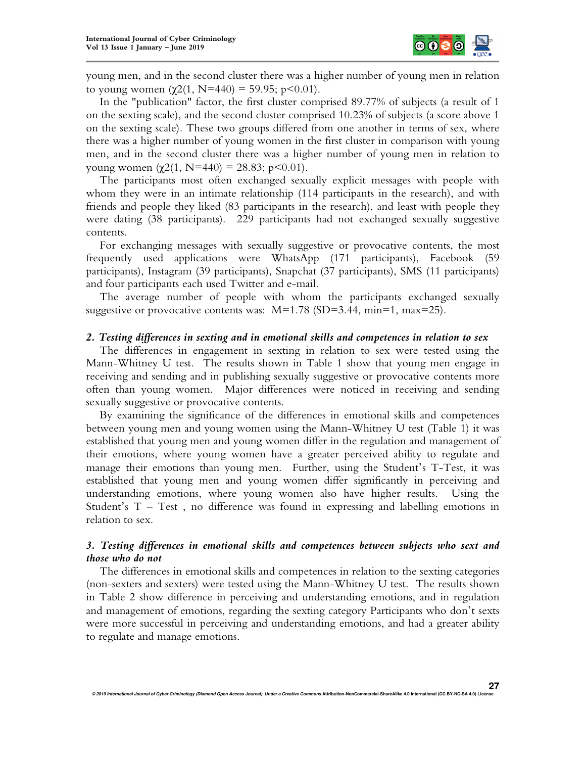

young men, and in the second cluster there was a higher number of young men in relation to young women  $(\chi^2(1, N=440) = 59.95; p<0.01)$ .

In the "publication" factor, the first cluster comprised 89.77% of subjects (a result of 1 on the sexting scale), and the second cluster comprised 10.23% of subjects (a score above 1 on the sexting scale). These two groups differed from one another in terms of sex, where there was a higher number of young women in the first cluster in comparison with young men, and in the second cluster there was a higher number of young men in relation to young women  $(χ2(1, N=440) = 28.83; p<0.01)$ .

The participants most often exchanged sexually explicit messages with people with whom they were in an intimate relationship (114 participants in the research), and with friends and people they liked (83 participants in the research), and least with people they were dating (38 participants). 229 participants had not exchanged sexually suggestive contents.

For exchanging messages with sexually suggestive or provocative contents, the most frequently used applications were WhatsApp (171 participants), Facebook (59 participants), Instagram (39 participants), Snapchat (37 participants), SMS (11 participants) and four participants each used Twitter and e-mail.

The average number of people with whom the participants exchanged sexually suggestive or provocative contents was:  $M=1.78$  (SD=3.44, min=1, max=25).

#### *2. Testing differences in sexting and in emotional skills and competences in relation to sex*

The differences in engagement in sexting in relation to sex were tested using the Mann-Whitney U test. The results shown in Table 1 show that young men engage in receiving and sending and in publishing sexually suggestive or provocative contents more often than young women. Major differences were noticed in receiving and sending sexually suggestive or provocative contents.

By examining the significance of the differences in emotional skills and competences between young men and young women using the Mann-Whitney U test (Table 1) it was established that young men and young women differ in the regulation and management of their emotions, where young women have a greater perceived ability to regulate and manage their emotions than young men. Further, using the Student's T-Test, it was established that young men and young women differ significantly in perceiving and understanding emotions, where young women also have higher results. Using the Student's  $T - Test$ , no difference was found in expressing and labelling emotions in relation to sex.

## *3. Testing differences in emotional skills and competences between subjects who sext and those who do not*

The differences in emotional skills and competences in relation to the sexting categories (non-sexters and sexters) were tested using the Mann-Whitney U test. The results shown in Table 2 show difference in perceiving and understanding emotions, and in regulation and management of emotions, regarding the sexting category Participants who don't sexts were more successful in perceiving and understanding emotions, and had a greater ability to regulate and manage emotions.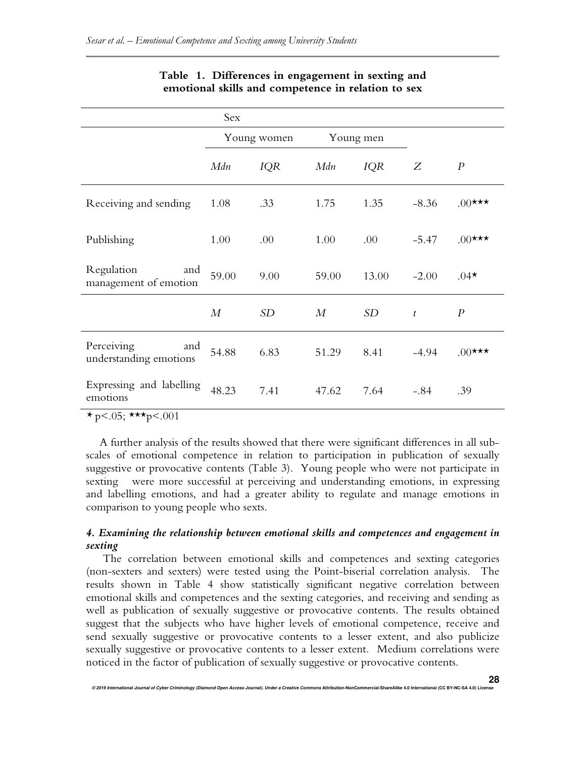|                                             | Sex              |            |           |            |                |                  |
|---------------------------------------------|------------------|------------|-----------|------------|----------------|------------------|
|                                             | Young women      |            | Young men |            |                |                  |
|                                             | Mdn              | <b>IQR</b> | Mdn       | <i>IQR</i> | Ζ              | $\boldsymbol{P}$ |
| Receiving and sending                       | 1.08             | .33        | 1.75      | 1.35       | $-8.36$        | $.00$ ***        |
| Publishing                                  | 1.00             | .00        | 1.00      | .00        | $-5.47$        | $.00$ ***        |
| Regulation<br>and<br>management of emotion  | 59.00            | 9.00       | 59.00     | 13.00      | $-2.00$        | $.04*$           |
|                                             | $\boldsymbol{M}$ | <b>SD</b>  | $M_{\rm}$ | <b>SD</b>  | $\mathfrak{t}$ | $\boldsymbol{P}$ |
| Perceiving<br>and<br>understanding emotions | 54.88            | 6.83       | 51.29     | 8.41       | $-4.94$        | $.00$ ***        |
| Expressing and labelling<br>emotions        | 48.23            | 7.41       | 47.62     | 7.64       | $-.84$         | .39              |

## **Table 1. Differences in engagement in sexting and emotional skills and competence in relation to sex**

 $*_{p<.05}$ ; \*\*\*p<.001

A further analysis of the results showed that there were significant differences in all subscales of emotional competence in relation to participation in publication of sexually suggestive or provocative contents (Table 3). Young people who were not participate in sexting were more successful at perceiving and understanding emotions, in expressing and labelling emotions, and had a greater ability to regulate and manage emotions in comparison to young people who sexts.

## *4. Examining the relationship between emotional skills and competences and engagement in sexting*

 The correlation between emotional skills and competences and sexting categories (non-sexters and sexters) were tested using the Point-biserial correlation analysis. The results shown in Table 4 show statistically significant negative correlation between emotional skills and competences and the sexting categories, and receiving and sending as well as publication of sexually suggestive or provocative contents. The results obtained suggest that the subjects who have higher levels of emotional competence, receive and send sexually suggestive or provocative contents to a lesser extent, and also publicize sexually suggestive or provocative contents to a lesser extent. Medium correlations were noticed in the factor of publication of sexually suggestive or provocative contents.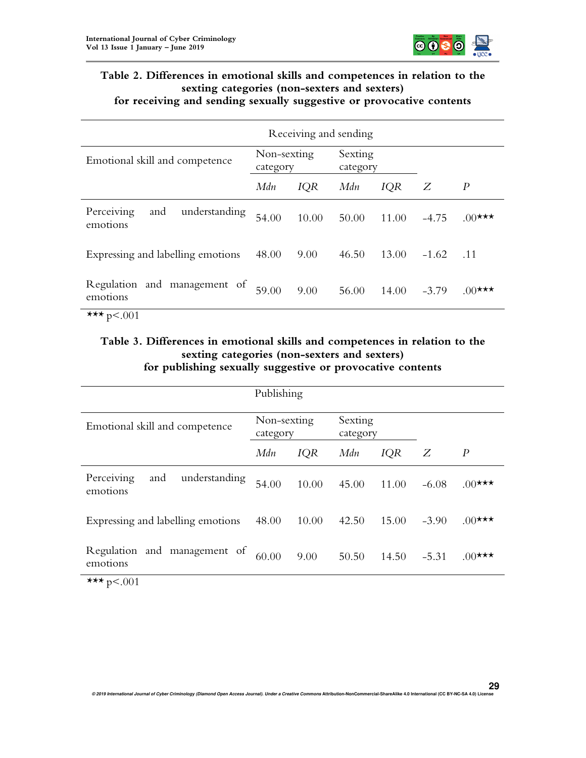

## **Table 2. Differences in emotional skills and competences in relation to the sexting categories (non-sexters and sexters) for receiving and sending sexually suggestive or provocative contents**

|                                                | Receiving and sending   |            |                     |            |         |                  |  |  |  |  |
|------------------------------------------------|-------------------------|------------|---------------------|------------|---------|------------------|--|--|--|--|
| Emotional skill and competence                 | Non-sexting<br>category |            | Sexting<br>category |            |         |                  |  |  |  |  |
|                                                | Mdn                     | <b>IQR</b> | Mdn                 | <b>IQR</b> | Ζ       | $\boldsymbol{P}$ |  |  |  |  |
| understanding<br>Perceiving<br>and<br>emotions | 54.00                   | 10.00      | 50.00               | 11.00      | $-4.75$ | $.00$ ***        |  |  |  |  |
| Expressing and labelling emotions              | 48.00                   | 9.00       | 46.50               | 13.00      | $-1.62$ | $\therefore$ 11  |  |  |  |  |
| Regulation and management of<br>emotions       | 59.00                   | 9.00       | 56.00               | 14.00      | $-3.79$ | $.00$ ***        |  |  |  |  |
| *** $p < .001$                                 |                         |            |                     |            |         |                  |  |  |  |  |

## **Table 3. Differences in emotional skills and competences in relation to the sexting categories (non-sexters and sexters) for publishing sexually suggestive or provocative contents**

|                                                | Publishing              |            |                     |            |         |                  |
|------------------------------------------------|-------------------------|------------|---------------------|------------|---------|------------------|
| Emotional skill and competence                 | Non-sexting<br>category |            | Sexting<br>category |            |         |                  |
|                                                | Mdn                     | <b>IQR</b> | Mdn                 | <b>IQR</b> | Ζ       | $\boldsymbol{P}$ |
| Perceiving<br>and<br>understanding<br>emotions | 54.00                   | 10.00      | 45.00               | 11.00      | $-6.08$ | $.00$ ***        |
| Expressing and labelling emotions              | 48.00                   | 10.00      | 42.50               | 15.00      | $-3.90$ | $.00$ ***        |
| Regulation and management of<br>emotions       | 60.00                   | 9.00       | 50.50               | 14.50      | $-5.31$ | $.00$ ***        |
| *** $p < .001$                                 |                         |            |                     |            |         |                  |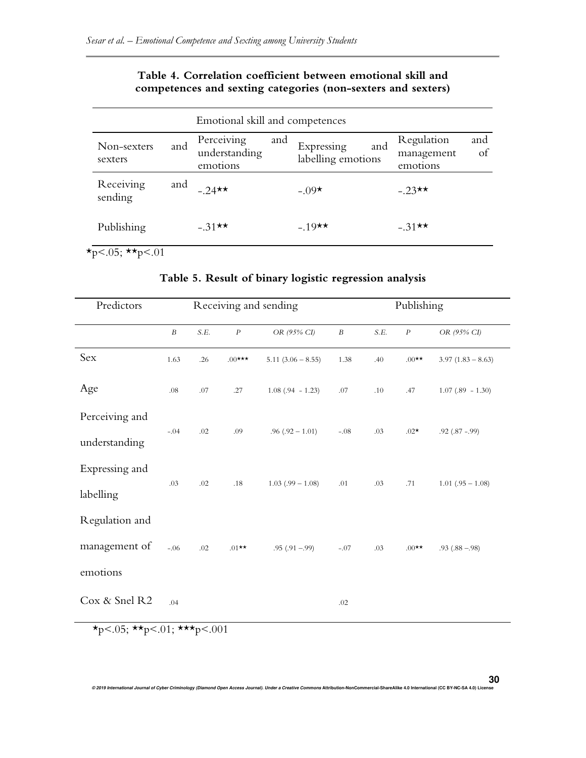| Emotional skill and competences |     |                                         |     |                                         |                                      |           |  |  |  |
|---------------------------------|-----|-----------------------------------------|-----|-----------------------------------------|--------------------------------------|-----------|--|--|--|
| Non-sexters<br>sexters          | and | Perceiving<br>understanding<br>emotions | and | and<br>Expressing<br>labelling emotions | Regulation<br>management<br>emotions | and<br>of |  |  |  |
| Receiving<br>sending            | and | $-24 \star \star$                       |     | $-0.09*$                                | $-23$ **                             |           |  |  |  |
| Publishing                      |     | $-.31**$                                |     | $-19$ <sup>**</sup>                     | $-31 \star \star$                    |           |  |  |  |

# **Table 4. Correlation coefficient between emotional skill and competences and sexting categories (non-sexters and sexters)**

 $\star_{p < .05}$ ;  $\star_{p < .01}$ 

| Predictors     | Receiving and sending |      |           |                     | Publishing       |      |          |                     |
|----------------|-----------------------|------|-----------|---------------------|------------------|------|----------|---------------------|
|                | $\boldsymbol{B}$      | S.E. | $\cal P$  | OR (95% CI)         | $\boldsymbol{B}$ | S.E. | $\cal P$ | OR (95% CI)         |
| Sex            | 1.63                  | .26  | $.00$ *** | $5.11(3.06 - 8.55)$ | 1.38             | .40  | $.00**$  | $3.97(1.83 - 8.63)$ |
| Age            | $.08\,$               | .07  | .27       | $1.08(.94 - 1.23)$  | .07              | .10  | .47      | $1.07(.89 - 1.30)$  |
| Perceiving and |                       |      |           |                     |                  |      |          |                     |
| understanding  | $-.04$                | .02  | .09       | $.96(.92 - 1.01)$   | $-.08$           | .03  | $.02*$   | $.92$ $(.87 - .99)$ |
| Expressing and |                       |      |           |                     |                  |      |          |                     |
| labelling      | .03                   | .02  | .18       | $1.03(.99 - 1.08)$  | .01              | .03  | .71      | $1.01(.95 - 1.08)$  |
| Regulation and |                       |      |           |                     |                  |      |          |                     |
| management of  | $-.06$                | .02  | $.01**$   | $.95(.91-.99)$      | $-.07$           | .03  | $.00**$  | $.93(.88 - .98)$    |
| emotions       |                       |      |           |                     |                  |      |          |                     |
| Cox & Snel R2  | .04                   |      |           |                     | .02              |      |          |                     |

# **Table 5. Result of binary logistic regression analysis**

 $\star_{p < .05;} \star \star_{p < .01;} \star \star \star_{p < .001}$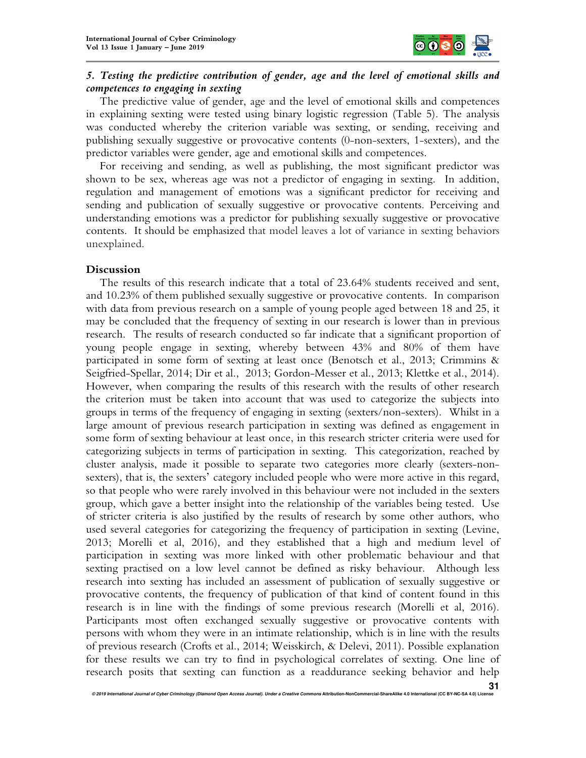

## *5. Testing the predictive contribution of gender, age and the level of emotional skills and competences to engaging in sexting*

The predictive value of gender, age and the level of emotional skills and competences in explaining sexting were tested using binary logistic regression (Table 5). The analysis was conducted whereby the criterion variable was sexting, or sending, receiving and publishing sexually suggestive or provocative contents (0-non-sexters, 1-sexters), and the predictor variables were gender, age and emotional skills and competences.

For receiving and sending, as well as publishing, the most significant predictor was shown to be sex, whereas age was not a predictor of engaging in sexting. In addition, regulation and management of emotions was a significant predictor for receiving and sending and publication of sexually suggestive or provocative contents. Perceiving and understanding emotions was a predictor for publishing sexually suggestive or provocative contents. It should be emphasized that model leaves a lot of variance in sexting behaviors unexplained.

## **Discussion**

The results of this research indicate that a total of 23.64% students received and sent, and 10.23% of them published sexually suggestive or provocative contents. In comparison with data from previous research on a sample of young people aged between 18 and 25, it may be concluded that the frequency of sexting in our research is lower than in previous research. The results of research conducted so far indicate that a significant proportion of young people engage in sexting, whereby between 43% and 80% of them have participated in some form of sexting at least once (Benotsch et al., 2013; Crimmins & Seigfried-Spellar, 2014; Dir et al., 2013; Gordon-Messer et al., 2013; Klettke et al., 2014). However, when comparing the results of this research with the results of other research the criterion must be taken into account that was used to categorize the subjects into groups in terms of the frequency of engaging in sexting (sexters/non-sexters). Whilst in a large amount of previous research participation in sexting was defined as engagement in some form of sexting behaviour at least once, in this research stricter criteria were used for categorizing subjects in terms of participation in sexting. This categorization, reached by cluster analysis, made it possible to separate two categories more clearly (sexters-nonsexters), that is, the sexters' category included people who were more active in this regard, so that people who were rarely involved in this behaviour were not included in the sexters group, which gave a better insight into the relationship of the variables being tested. Use of stricter criteria is also justified by the results of research by some other authors, who used several categories for categorizing the frequency of participation in sexting (Levine, 2013; Morelli et al, 2016), and they established that a high and medium level of participation in sexting was more linked with other problematic behaviour and that sexting practised on a low level cannot be defined as risky behaviour. Although less research into sexting has included an assessment of publication of sexually suggestive or provocative contents, the frequency of publication of that kind of content found in this research is in line with the findings of some previous research (Morelli et al, 2016). Participants most often exchanged sexually suggestive or provocative contents with persons with whom they were in an intimate relationship, which is in line with the results of previous research (Crofts et al., 2014; Weisskirch, & Delevi, 2011). Possible explanation for these results we can try to find in psychological correlates of sexting. One line of research posits that sexting can function as a readdurance seeking behavior and help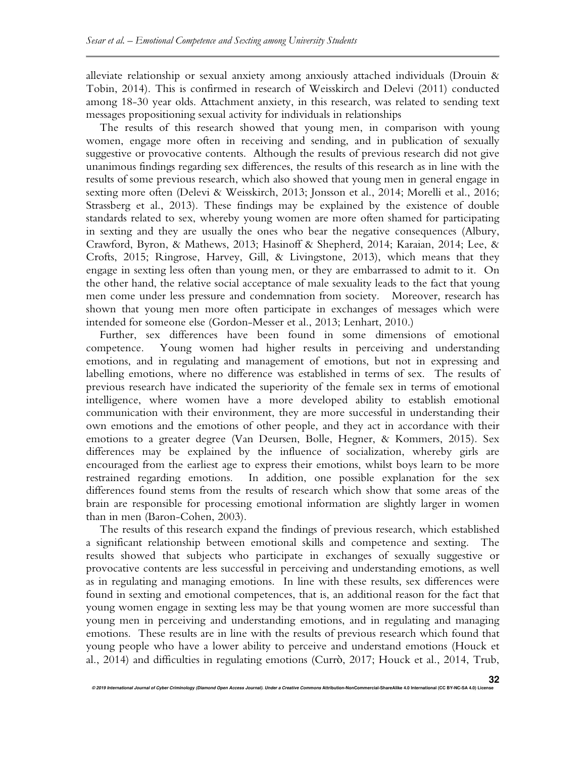alleviate relationship or sexual anxiety among anxiously attached individuals (Drouin & Tobin, 2014). This is confirmed in research of Weisskirch and Delevi (2011) conducted among 18-30 year olds. Attachment anxiety, in this research, was related to sending text messages propositioning sexual activity for individuals in relationships

The results of this research showed that young men, in comparison with young women, engage more often in receiving and sending, and in publication of sexually suggestive or provocative contents. Although the results of previous research did not give unanimous findings regarding sex differences, the results of this research as in line with the results of some previous research, which also showed that young men in general engage in sexting more often (Delevi & Weisskirch, 2013; Jonsson et al., 2014; Morelli et al., 2016; Strassberg et al., 2013). These findings may be explained by the existence of double standards related to sex, whereby young women are more often shamed for participating in sexting and they are usually the ones who bear the negative consequences (Albury, Crawford, Byron, & Mathews, 2013; Hasinoff & Shepherd, 2014; Karaian, 2014; Lee, & Crofts, 2015; Ringrose, Harvey, Gill, & Livingstone, 2013), which means that they engage in sexting less often than young men, or they are embarrassed to admit to it. On the other hand, the relative social acceptance of male sexuality leads to the fact that young men come under less pressure and condemnation from society. Moreover, research has shown that young men more often participate in exchanges of messages which were intended for someone else (Gordon-Messer et al., 2013; Lenhart, 2010.)

Further, sex differences have been found in some dimensions of emotional competence. Young women had higher results in perceiving and understanding emotions, and in regulating and management of emotions, but not in expressing and labelling emotions, where no difference was established in terms of sex. The results of previous research have indicated the superiority of the female sex in terms of emotional intelligence, where women have a more developed ability to establish emotional communication with their environment, they are more successful in understanding their own emotions and the emotions of other people, and they act in accordance with their emotions to a greater degree (Van Deursen, Bolle, Hegner, & Kommers, 2015). Sex differences may be explained by the influence of socialization, whereby girls are encouraged from the earliest age to express their emotions, whilst boys learn to be more restrained regarding emotions. In addition, one possible explanation for the sex differences found stems from the results of research which show that some areas of the brain are responsible for processing emotional information are slightly larger in women than in men (Baron-Cohen, 2003).

The results of this research expand the findings of previous research, which established a significant relationship between emotional skills and competence and sexting. The results showed that subjects who participate in exchanges of sexually suggestive or provocative contents are less successful in perceiving and understanding emotions, as well as in regulating and managing emotions. In line with these results, sex differences were found in sexting and emotional competences, that is, an additional reason for the fact that young women engage in sexting less may be that young women are more successful than young men in perceiving and understanding emotions, and in regulating and managing emotions. These results are in line with the results of previous research which found that young people who have a lower ability to perceive and understand emotions (Houck et al., 2014) and difficulties in regulating emotions (Currò, 2017; Houck et al., 2014, Trub,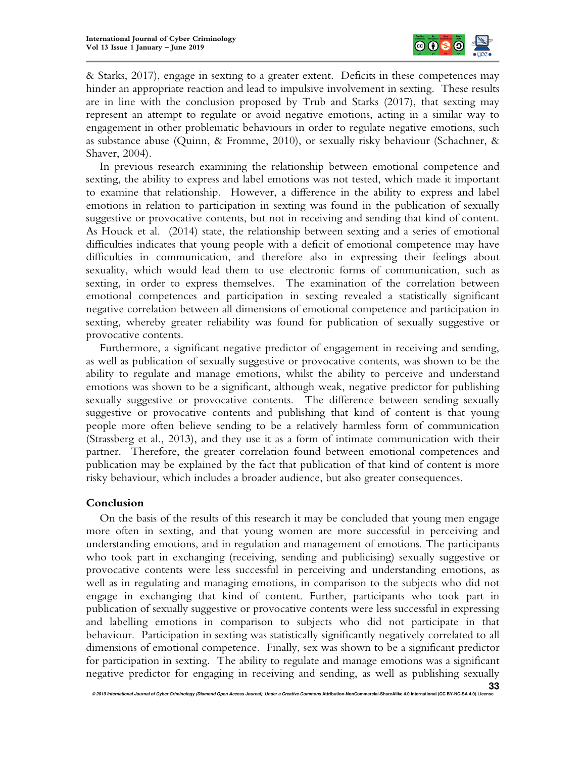

& Starks, 2017), engage in sexting to a greater extent. Deficits in these competences may hinder an appropriate reaction and lead to impulsive involvement in sexting. These results are in line with the conclusion proposed by Trub and Starks (2017), that sexting may represent an attempt to regulate or avoid negative emotions, acting in a similar way to engagement in other problematic behaviours in order to regulate negative emotions, such as substance abuse (Quinn, & Fromme, 2010), or sexually risky behaviour (Schachner, & Shaver, 2004).

In previous research examining the relationship between emotional competence and sexting, the ability to express and label emotions was not tested, which made it important to examine that relationship. However, a difference in the ability to express and label emotions in relation to participation in sexting was found in the publication of sexually suggestive or provocative contents, but not in receiving and sending that kind of content. As Houck et al. (2014) state, the relationship between sexting and a series of emotional difficulties indicates that young people with a deficit of emotional competence may have difficulties in communication, and therefore also in expressing their feelings about sexuality, which would lead them to use electronic forms of communication, such as sexting, in order to express themselves. The examination of the correlation between emotional competences and participation in sexting revealed a statistically significant negative correlation between all dimensions of emotional competence and participation in sexting, whereby greater reliability was found for publication of sexually suggestive or provocative contents.

Furthermore, a significant negative predictor of engagement in receiving and sending, as well as publication of sexually suggestive or provocative contents, was shown to be the ability to regulate and manage emotions, whilst the ability to perceive and understand emotions was shown to be a significant, although weak, negative predictor for publishing sexually suggestive or provocative contents. The difference between sending sexually suggestive or provocative contents and publishing that kind of content is that young people more often believe sending to be a relatively harmless form of communication (Strassberg et al., 2013), and they use it as a form of intimate communication with their partner. Therefore, the greater correlation found between emotional competences and publication may be explained by the fact that publication of that kind of content is more risky behaviour, which includes a broader audience, but also greater consequences.

## **Conclusion**

On the basis of the results of this research it may be concluded that young men engage more often in sexting, and that young women are more successful in perceiving and understanding emotions, and in regulation and management of emotions. The participants who took part in exchanging (receiving, sending and publicising) sexually suggestive or provocative contents were less successful in perceiving and understanding emotions, as well as in regulating and managing emotions, in comparison to the subjects who did not engage in exchanging that kind of content. Further, participants who took part in publication of sexually suggestive or provocative contents were less successful in expressing and labelling emotions in comparison to subjects who did not participate in that behaviour. Participation in sexting was statistically significantly negatively correlated to all dimensions of emotional competence. Finally, sex was shown to be a significant predictor for participation in sexting. The ability to regulate and manage emotions was a significant negative predictor for engaging in receiving and sending, as well as publishing sexually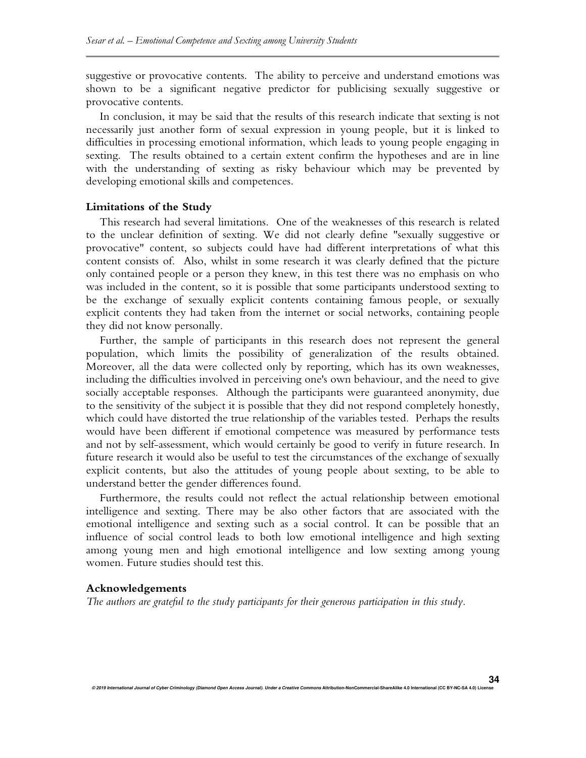suggestive or provocative contents. The ability to perceive and understand emotions was shown to be a significant negative predictor for publicising sexually suggestive or provocative contents.

In conclusion, it may be said that the results of this research indicate that sexting is not necessarily just another form of sexual expression in young people, but it is linked to difficulties in processing emotional information, which leads to young people engaging in sexting. The results obtained to a certain extent confirm the hypotheses and are in line with the understanding of sexting as risky behaviour which may be prevented by developing emotional skills and competences.

#### **Limitations of the Study**

This research had several limitations. One of the weaknesses of this research is related to the unclear definition of sexting. We did not clearly define "sexually suggestive or provocative" content, so subjects could have had different interpretations of what this content consists of. Also, whilst in some research it was clearly defined that the picture only contained people or a person they knew, in this test there was no emphasis on who was included in the content, so it is possible that some participants understood sexting to be the exchange of sexually explicit contents containing famous people, or sexually explicit contents they had taken from the internet or social networks, containing people they did not know personally.

Further, the sample of participants in this research does not represent the general population, which limits the possibility of generalization of the results obtained. Moreover, all the data were collected only by reporting, which has its own weaknesses, including the difficulties involved in perceiving one's own behaviour, and the need to give socially acceptable responses. Although the participants were guaranteed anonymity, due to the sensitivity of the subject it is possible that they did not respond completely honestly, which could have distorted the true relationship of the variables tested. Perhaps the results would have been different if emotional competence was measured by performance tests and not by self-assessment, which would certainly be good to verify in future research. In future research it would also be useful to test the circumstances of the exchange of sexually explicit contents, but also the attitudes of young people about sexting, to be able to understand better the gender differences found.

Furthermore, the results could not reflect the actual relationship between emotional intelligence and sexting. There may be also other factors that are associated with the emotional intelligence and sexting such as a social control. It can be possible that an influence of social control leads to both low emotional intelligence and high sexting among young men and high emotional intelligence and low sexting among young women. Future studies should test this.

#### **Acknowledgements**

*The authors are grateful to the study participants for their generous participation in this study.*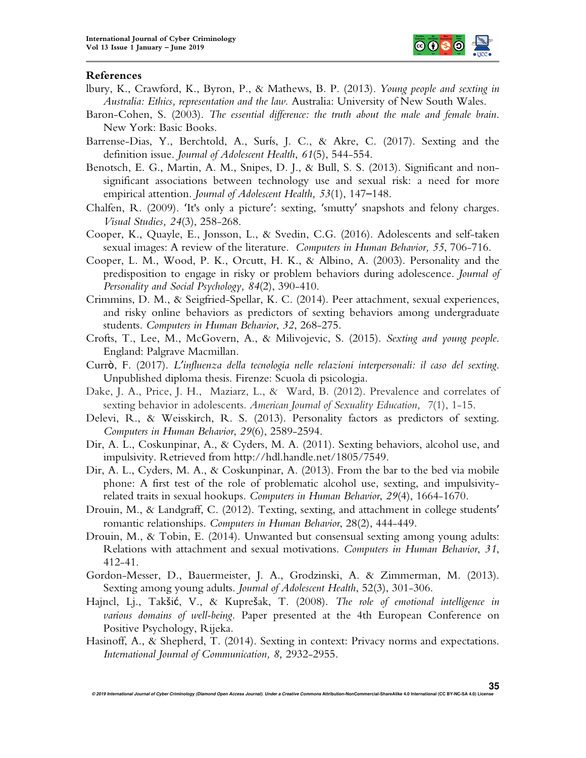

#### **References**

- lbury, K., Crawford, K., Byron, P., & Mathews, B. P. (2013). *Young people and sexting in Australia: Ethics, representation and the law.* Australia: University of New South Wales.
- Baron-Cohen, S. (2003). *The essential difference: the truth about the male and female brain*. New York: Basic Books.
- Barrense-Dias, Y., Berchtold, A., Surís, J. C., & Akre, C. (2017). Sexting and the definition issue. *Journal of Adolescent Health*, *61*(5), 544-554.
- Benotsch, E. G., Martin, A. M., Snipes, D. J., & Bull, S. S. (2013). Significant and nonsignificant associations between technology use and sexual risk: a need for more empirical attention. *Journal of Adolescent Health, 53*(1), 147–148.
- Chalfen, R. (2009). 'It's only a picture': sexting, 'smutty' snapshots and felony charges. *Visual Studies, 24*(3), 258-268.
- Cooper, K., Quayle, E., Jonsson, L., & Svedin, C.G. (2016). Adolescents and self-taken sexual images: A review of the literature. *Computers in Human Behavior, 55*, 706-716.
- Cooper, L. M., Wood, P. K., Orcutt, H. K., & Albino, A. (2003). Personality and the predisposition to engage in risky or problem behaviors during adolescence. *Journal of Personality and Social Psychology, 84*(2), 390-410.
- Crimmins, D. M., & Seigfried-Spellar, K. C. (2014). Peer attachment, sexual experiences, and risky online behaviors as predictors of sexting behaviors among undergraduate students. *Computers in Human Behavior*, *32*, 268-275.
- Crofts, T., Lee, M., McGovern, A., & Milivojevic, S. (2015). *Sexting and young people*. England: Palgrave Macmillan.
- Currò, F. (2017). *L'influenza della tecnologia nelle relazioni interpersonali: il caso del sexting*. Unpublished diploma thesis. Firenze: Scuola di psicologia.
- Dake, J. A., Price, J. H., Maziarz, L., & Ward, B. (2012). Prevalence and correlates of sexting behavior in adolescents. *American Journal of Sexuality Education, 7*(1), 1-15.
- Delevi, R., & Weisskirch, R. S. (2013). Personality factors as predictors of sexting. *Computers in Human Behavior*, *29*(6), 2589-2594.
- Dir, A. L., Coskunpinar, A., & Cyders, M. A. (2011). Sexting behaviors, alcohol use, and impulsivity. Retrieved from http://hdl.handle.net/1805/7549.
- Dir, A. L., Cyders, M. A., & Coskunpinar, A. (2013). From the bar to the bed via mobile phone: A first test of the role of problematic alcohol use, sexting, and impulsivityrelated traits in sexual hookups. *Computers in Human Behavior*, *29*(4), 1664-1670.
- Drouin, M., & Landgraff, C. (2012). Texting, sexting, and attachment in college students' romantic relationships. *Computers in Human Behavior*, 28(2), 444-449.
- Drouin, M., & Tobin, E. (2014). Unwanted but consensual sexting among young adults: Relations with attachment and sexual motivations. *Computers in Human Behavior*, *31*, 412-41.
- Gordon-Messer, D., Bauermeister, J. A., Grodzinski, A. & Zimmerman, M. (2013). Sexting among young adults. *Journal of Adolescent Health*, 52(3), 301-306.
- Hajncl, Lj., Takšić, V., & Kuprešak, T. (2008). *The role of emotional intelligence in various domains of well-being.* Paper presented at the 4th European Conference on Positive Psychology, Rijeka.
- Hasinoff, A., & Shepherd, T. (2014). Sexting in context: Privacy norms and expectations. *International Journal of Communication, 8,* 2932-2955.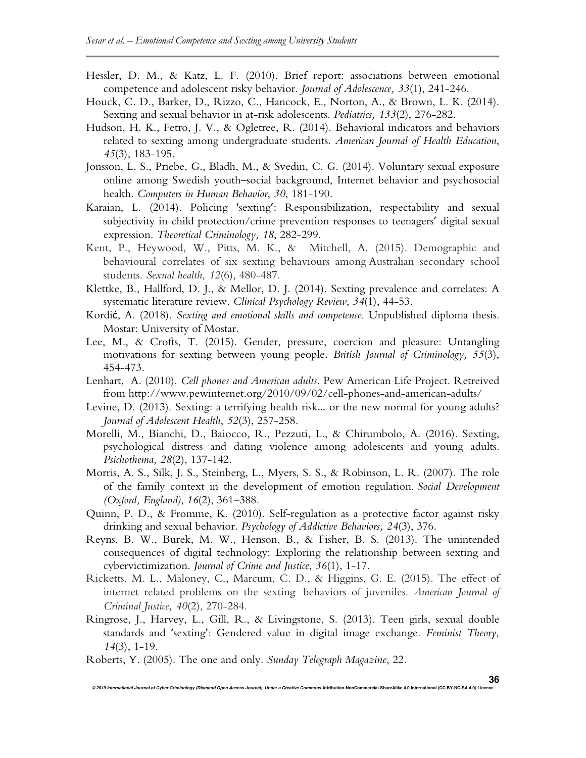- Hessler, D. M., & Katz, L. F. (2010). Brief report: associations between emotional competence and adolescent risky behavior. *Journal of Adolescence, 33*(1), 241-246.
- Houck, C. D., Barker, D., Rizzo, C., Hancock, E., Norton, A., & Brown, L. K. (2014). Sexting and sexual behavior in at-risk adolescents. *Pediatrics, 133*(2), 276-282.
- Hudson, H. K., Fetro, J. V., & Ogletree, R. (2014). Behavioral indicators and behaviors related to sexting among undergraduate students. *American Journal of Health Education*, *45*(3), 183-195.
- Jonsson, L. S., Priebe, G., Bladh, M., & Svedin, C. G. (2014). Voluntary sexual exposure online among Swedish youth–social background, Internet behavior and psychosocial health. *Computers in Human Behavior*, *30*, 181-190.
- Karaian, L. (2014). Policing 'sexting': Responsibilization, respectability and sexual subjectivity in child protection/crime prevention responses to teenagers' digital sexual expression. *Theoretical Criminology, 18*, 282-299.
- Kent, P., Heywood, W., Pitts, M. K., & Mitchell, A. (2015). Demographic and behavioural correlates of six sexting behaviours among Australian secondary school students. *Sexual health, 12*(6), 480-487.
- Klettke, B., Hallford, D. J., & Mellor, D. J. (2014). Sexting prevalence and correlates: A systematic literature review. *Clinical Psychology Review*, *34*(1), 44-53.
- Kordić, A. (2018). *Sexting and emotional skills and competence*. Unpublished diploma thesis. Mostar: University of Mostar.
- Lee, M., & Crofts, T. (2015). Gender, pressure, coercion and pleasure: Untangling motivations for sexting between young people. *British Journal of Criminology, 55*(3), 454-473.
- Lenhart, A. (2010). *Cell phones and American adults*. Pew American Life Project. Retreived from http://www.pewinternet.org/2010/09/02/cell-phones-and-american-adults/
- Levine, D. (2013). Sexting: a terrifying health risk… or the new normal for young adults? *Journal of Adolescent Health*, *52*(3), 257-258.
- Morelli, M., Bianchi, D., Baiocco, R., Pezzuti, L., & Chirumbolo, A. (2016). Sexting, psychological distress and dating violence among adolescents and young adults. *Psichothema, 28*(2), 137-142.
- Morris, A. S., Silk, J. S., Steinberg, L., Myers, S. S., & Robinson, L. R. (2007). The role of the family context in the development of emotion regulation. *Social Development (Oxford, England)*, *16*(2), 361–388.
- Quinn, P. D., & Fromme, K. (2010). Self-regulation as a protective factor against risky drinking and sexual behavior. *Psychology of Addictive Behaviors, 24*(3), 376.
- Reyns, B. W., Burek, M. W., Henson, B., & Fisher, B. S. (2013). The unintended consequences of digital technology: Exploring the relationship between sexting and cybervictimization. *Journal of Crime and Justice*, *36*(1), 1-17.
- Ricketts, M. L., Maloney, C., Marcum, C. D., & Higgins, G. E. (2015). The effect of internet related problems on the sexting behaviors of juveniles. *American Journal of Criminal Justice, 40*(2), 270-284.
- Ringrose, J., Harvey, L., Gill, R., & Livingstone, S. (2013). Teen girls, sexual double standards and 'sexting': Gendered value in digital image exchange. *Feminist Theory, 14*(3), 1-19.
- Roberts, Y. (2005). The one and only. *Sunday Telegraph Magazine*, 22.